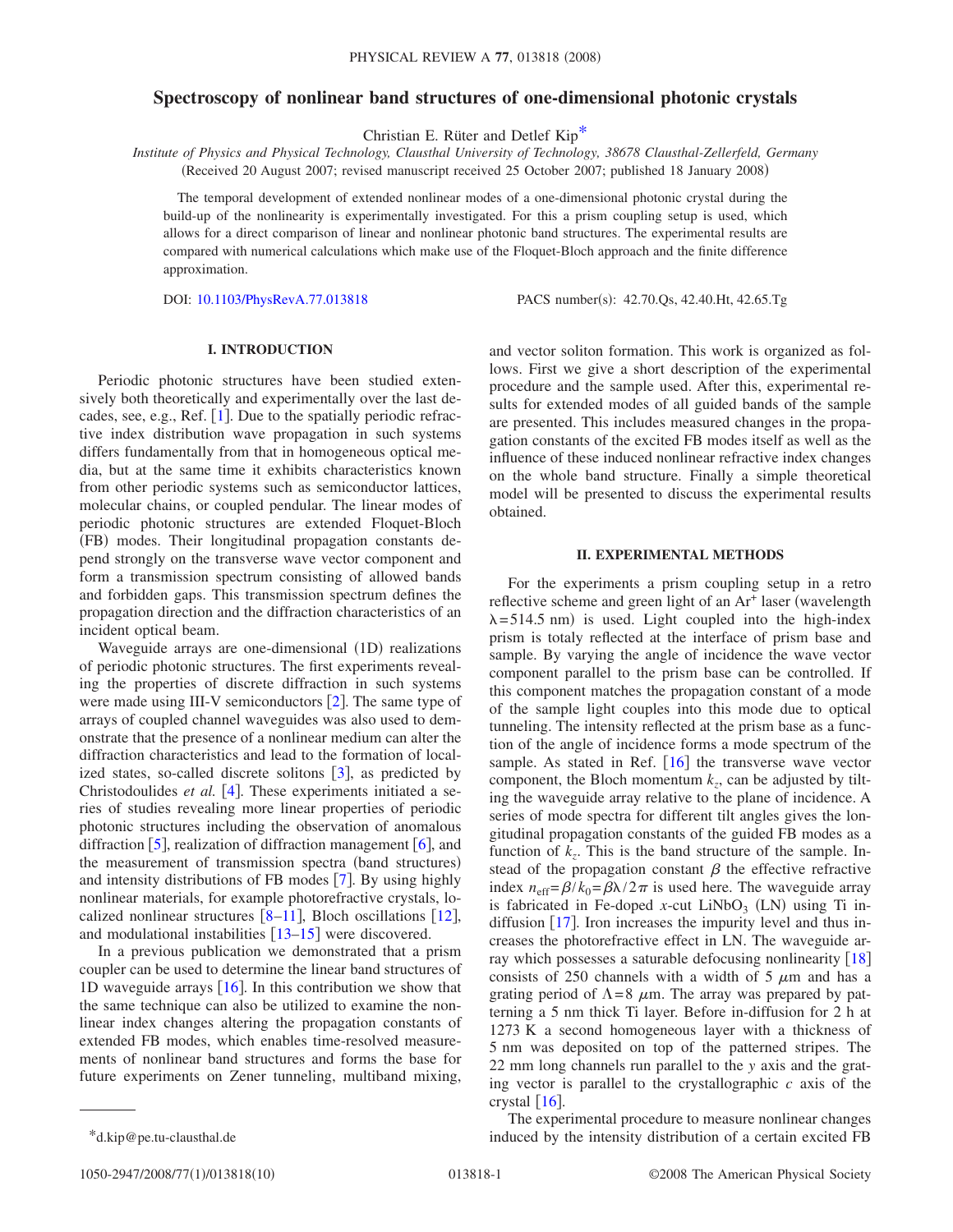# **Spectroscopy of nonlinear band structures of one-dimensional photonic crystals**

Christian E. Rüter and Detlef Ki[p\\*](#page-0-0)

*Institute of Physics and Physical Technology, Clausthal University of Technology, 38678 Clausthal-Zellerfeld, Germany* (Received 20 August 2007; revised manuscript received 25 October 2007; published 18 January 2008)

The temporal development of extended nonlinear modes of a one-dimensional photonic crystal during the build-up of the nonlinearity is experimentally investigated. For this a prism coupling setup is used, which allows for a direct comparison of linear and nonlinear photonic band structures. The experimental results are compared with numerical calculations which make use of the Floquet-Bloch approach and the finite difference approximation.

DOI: [10.1103/PhysRevA.77.013818](http://dx.doi.org/10.1103/PhysRevA.77.013818)

PACS number(s): 42.70.Qs, 42.40.Ht, 42.65.Tg

# **I. INTRODUCTION**

Periodic photonic structures have been studied extensively both theoretically and experimentally over the last decades, see, e.g., Ref.  $[1]$  $[1]$  $[1]$ . Due to the spatially periodic refractive index distribution wave propagation in such systems differs fundamentally from that in homogeneous optical media, but at the same time it exhibits characteristics known from other periodic systems such as semiconductor lattices, molecular chains, or coupled pendular. The linear modes of periodic photonic structures are extended Floquet-Bloch (FB) modes. Their longitudinal propagation constants depend strongly on the transverse wave vector component and form a transmission spectrum consisting of allowed bands and forbidden gaps. This transmission spectrum defines the propagation direction and the diffraction characteristics of an incident optical beam.

Waveguide arrays are one-dimensional (1D) realizations of periodic photonic structures. The first experiments revealing the properties of discrete diffraction in such systems were made using III-V semiconductors  $[2]$  $[2]$  $[2]$ . The same type of arrays of coupled channel waveguides was also used to demonstrate that the presence of a nonlinear medium can alter the diffraction characteristics and lead to the formation of localized states, so-called discrete solitons  $\lceil 3 \rceil$  $\lceil 3 \rceil$  $\lceil 3 \rceil$ , as predicted by Christodoulides *et al.*  $[4]$  $[4]$  $[4]$ . These experiments initiated a series of studies revealing more linear properties of periodic photonic structures including the observation of anomalous diffraction  $\left[5\right]$  $\left[5\right]$  $\left[5\right]$ , realization of diffraction management  $\left[6\right]$  $\left[6\right]$  $\left[6\right]$ , and the measurement of transmission spectra (band structures) and intensity distributions of FB modes  $[7]$  $[7]$  $[7]$ . By using highly nonlinear materials, for example photorefractive crystals, localized nonlinear structures  $[8-11]$  $[8-11]$  $[8-11]$ , Bloch oscillations  $[12]$  $[12]$  $[12]$ , and modulational instabilities  $\lceil 13-15 \rceil$  $\lceil 13-15 \rceil$  $\lceil 13-15 \rceil$  were discovered.

In a previous publication we demonstrated that a prism coupler can be used to determine the linear band structures of 1D waveguide arrays  $\vert 16 \vert$  $\vert 16 \vert$  $\vert 16 \vert$ . In this contribution we show that the same technique can also be utilized to examine the nonlinear index changes altering the propagation constants of extended FB modes, which enables time-resolved measurements of nonlinear band structures and forms the base for future experiments on Zener tunneling, multiband mixing, and vector soliton formation. This work is organized as follows. First we give a short description of the experimental procedure and the sample used. After this, experimental results for extended modes of all guided bands of the sample are presented. This includes measured changes in the propagation constants of the excited FB modes itself as well as the influence of these induced nonlinear refractive index changes on the whole band structure. Finally a simple theoretical model will be presented to discuss the experimental results obtained.

### **II. EXPERIMENTAL METHODS**

For the experiments a prism coupling setup in a retro reflective scheme and green light of an  $Ar<sup>+</sup>$  laser (wavelength  $\lambda = 514.5$  nm) is used. Light coupled into the high-index prism is totaly reflected at the interface of prism base and sample. By varying the angle of incidence the wave vector component parallel to the prism base can be controlled. If this component matches the propagation constant of a mode of the sample light couples into this mode due to optical tunneling. The intensity reflected at the prism base as a function of the angle of incidence forms a mode spectrum of the sample. As stated in Ref.  $[16]$  $[16]$  $[16]$  the transverse wave vector component, the Bloch momentum  $k_z$ , can be adjusted by tilting the waveguide array relative to the plane of incidence. A series of mode spectra for different tilt angles gives the longitudinal propagation constants of the guided FB modes as a function of  $k_z$ . This is the band structure of the sample. Instead of the propagation constant  $\beta$  the effective refractive index  $n_{\text{eff}} = \frac{\beta}{k_0} = \frac{\beta \lambda}{2 \pi}$  is used here. The waveguide array is fabricated in Fe-doped *x*-cut  $LiNbO<sub>3</sub>$  (LN) using Ti indiffusion  $\lceil 17 \rceil$  $\lceil 17 \rceil$  $\lceil 17 \rceil$ . Iron increases the impurity level and thus increases the photorefractive effect in LN. The waveguide array which possesses a saturable defocusing nonlinearity  $[18]$  $[18]$  $[18]$ consists of 250 channels with a width of 5  $\mu$ m and has a grating period of  $\Lambda = 8$   $\mu$ m. The array was prepared by patterning a 5 nm thick Ti layer. Before in-diffusion for 2 h at 1273 K a second homogeneous layer with a thickness of 5 nm was deposited on top of the patterned stripes. The 22 mm long channels run parallel to the *y* axis and the grating vector is parallel to the crystallographic *c* axis of the crystal  $\lceil 16 \rceil$  $\lceil 16 \rceil$  $\lceil 16 \rceil$ .

<span id="page-0-0"></span>The experimental procedure to measure nonlinear changes \*d.kip@pe.tu-clausthal.de induced by the intensity distribution of a certain excited FB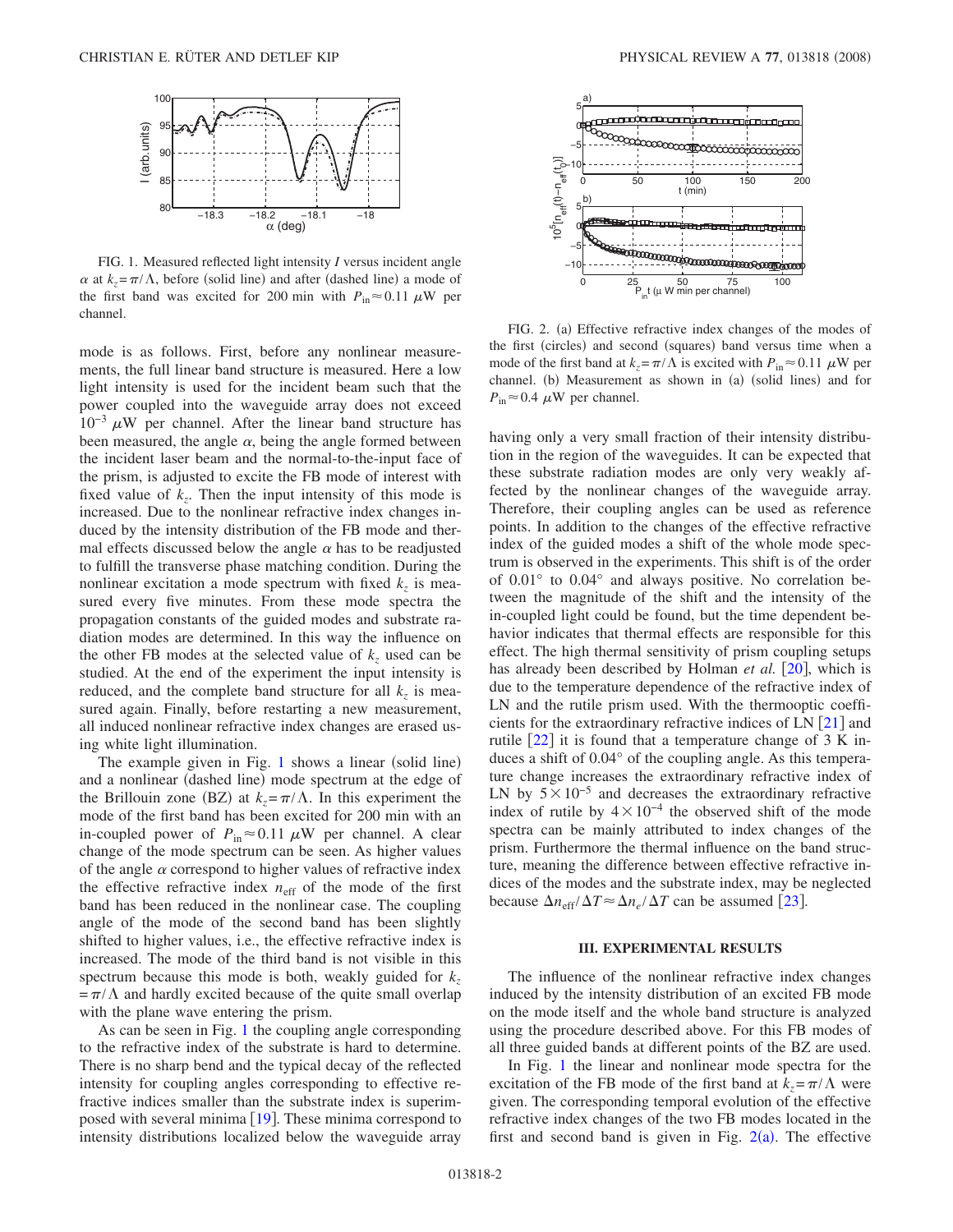<span id="page-1-0"></span>

FIG. 1. Measured reflected light intensity *I* versus incident angle  $\alpha$  at  $k_z = \pi/\Lambda$ , before (solid line) and after (dashed line) a mode of the first band was excited for 200 min with  $P_{in} \approx 0.11 \mu W$  per channel.

mode is as follows. First, before any nonlinear measurements, the full linear band structure is measured. Here a low light intensity is used for the incident beam such that the power coupled into the waveguide array does not exceed  $10^{-3} \mu W$  per channel. After the linear band structure has been measured, the angle  $\alpha$ , being the angle formed between the incident laser beam and the normal-to-the-input face of the prism, is adjusted to excite the FB mode of interest with fixed value of  $k_z$ . Then the input intensity of this mode is increased. Due to the nonlinear refractive index changes induced by the intensity distribution of the FB mode and thermal effects discussed below the angle  $\alpha$  has to be readjusted to fulfill the transverse phase matching condition. During the nonlinear excitation a mode spectrum with fixed  $k_z$  is measured every five minutes. From these mode spectra the propagation constants of the guided modes and substrate radiation modes are determined. In this way the influence on the other FB modes at the selected value of  $k<sub>z</sub>$  used can be studied. At the end of the experiment the input intensity is reduced, and the complete band structure for all  $k_z$  is measured again. Finally, before restarting a new measurement, all induced nonlinear refractive index changes are erased using white light illumination.

The example given in Fig.  $1$  shows a linear (solid line) and a nonlinear (dashed line) mode spectrum at the edge of the Brillouin zone (BZ) at  $k_z = \pi / \Lambda$ . In this experiment the mode of the first band has been excited for 200 min with an in-coupled power of  $P_{\text{in}} \approx 0.11 \mu W$  per channel. A clear change of the mode spectrum can be seen. As higher values of the angle  $\alpha$  correspond to higher values of refractive index the effective refractive index  $n_{\text{eff}}$  of the mode of the first band has been reduced in the nonlinear case. The coupling angle of the mode of the second band has been slightly shifted to higher values, i.e., the effective refractive index is increased. The mode of the third band is not visible in this spectrum because this mode is both, weakly guided for  $k_z$  $=\pi/\Lambda$  and hardly excited because of the quite small overlap with the plane wave entering the prism.

As can be seen in Fig. [1](#page-1-0) the coupling angle corresponding to the refractive index of the substrate is hard to determine. There is no sharp bend and the typical decay of the reflected intensity for coupling angles corresponding to effective refractive indices smaller than the substrate index is superimposed with several minima  $[19]$  $[19]$  $[19]$ . These minima correspond to intensity distributions localized below the waveguide array

<span id="page-1-1"></span>

FIG. 2. (a) Effective refractive index changes of the modes of the first (circles) and second (squares) band versus time when a mode of the first band at  $k_z = \pi / \Lambda$  is excited with  $P_{\text{in}} \approx 0.11 \mu W$  per channel. (b) Measurement as shown in (a) (solid lines) and for  $P_{\text{in}} \approx 0.4 \ \mu\text{W}$  per channel.

having only a very small fraction of their intensity distribution in the region of the waveguides. It can be expected that these substrate radiation modes are only very weakly affected by the nonlinear changes of the waveguide array. Therefore, their coupling angles can be used as reference points. In addition to the changes of the effective refractive index of the guided modes a shift of the whole mode spectrum is observed in the experiments. This shift is of the order of 0.01° to 0.04° and always positive. No correlation between the magnitude of the shift and the intensity of the in-coupled light could be found, but the time dependent behavior indicates that thermal effects are responsible for this effect. The high thermal sensitivity of prism coupling setups has already been described by Holman *et al.* [[20](#page-8-16)], which is due to the temperature dependence of the refractive index of LN and the rutile prism used. With the thermooptic coefficients for the extraordinary refractive indices of  $LN$   $[21]$  $[21]$  $[21]$  and rutile  $[22]$  $[22]$  $[22]$  it is found that a temperature change of 3 K induces a shift of 0.04° of the coupling angle. As this temperature change increases the extraordinary refractive index of LN by  $5\times10^{-5}$  and decreases the extraordinary refractive index of rutile by  $4 \times 10^{-4}$  the observed shift of the mode spectra can be mainly attributed to index changes of the prism. Furthermore the thermal influence on the band structure, meaning the difference between effective refractive indices of the modes and the substrate index, may be neglected because  $\Delta n_{\text{eff}} / \Delta T \approx \Delta n_e / \Delta T$  can be assumed [[23](#page-8-19)].

### **III. EXPERIMENTAL RESULTS**

The influence of the nonlinear refractive index changes induced by the intensity distribution of an excited FB mode on the mode itself and the whole band structure is analyzed using the procedure described above. For this FB modes of all three guided bands at different points of the BZ are used.

In Fig. [1](#page-1-0) the linear and nonlinear mode spectra for the excitation of the FB mode of the first band at  $k_z = \pi / \Lambda$  were given. The corresponding temporal evolution of the effective refractive index changes of the two FB modes located in the first and second band is given in Fig.  $2(a)$  $2(a)$ . The effective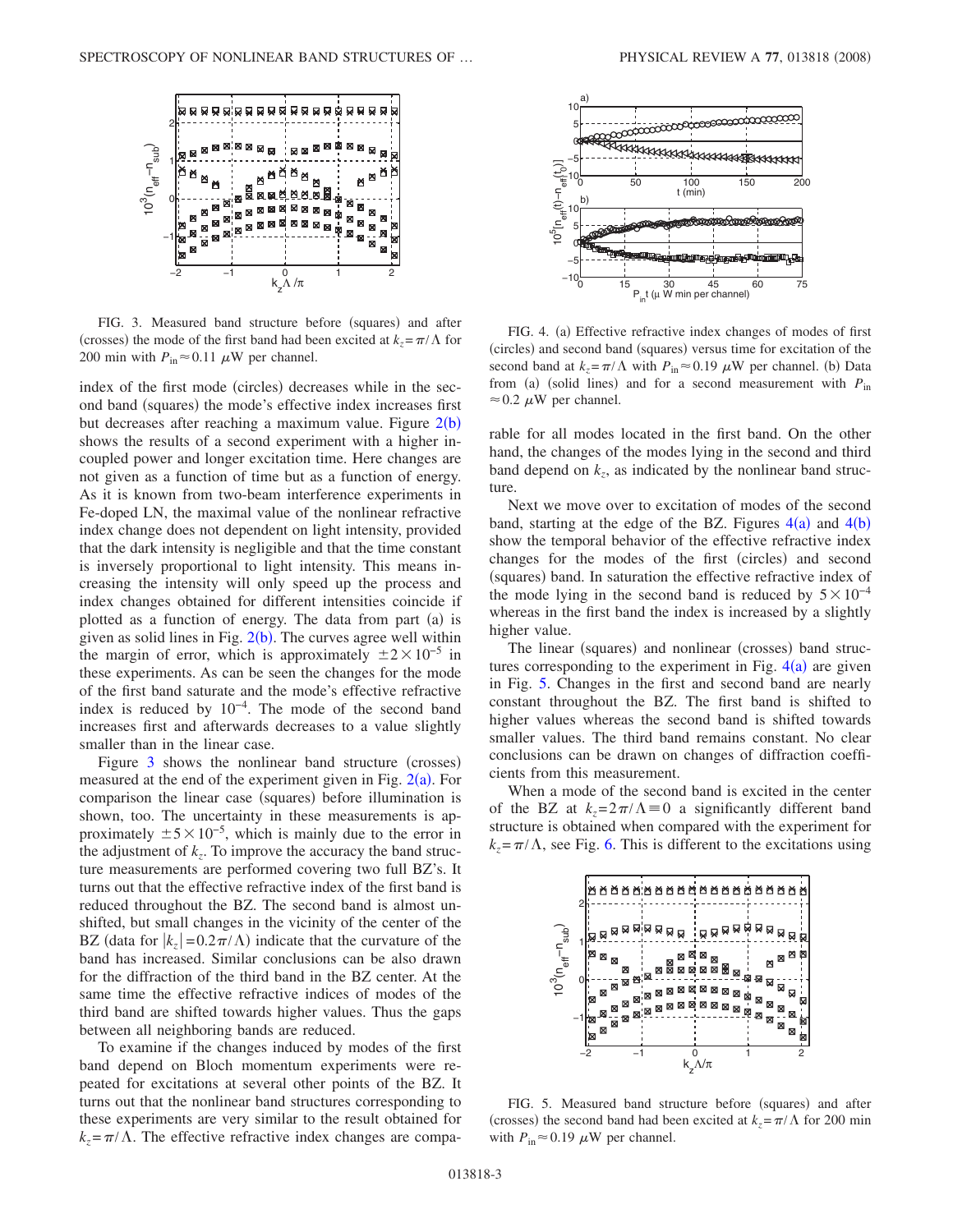<span id="page-2-0"></span>

FIG. 3. Measured band structure before (squares) and after (crosses) the mode of the first band had been excited at  $k_z = \pi / \Lambda$  for 200 min with  $P_{\text{in}} \approx 0.11 \mu$ W per channel.

index of the first mode (circles) decreases while in the second band (squares) the mode's effective index increases first but decreases after reaching a maximum value. Figure  $2(b)$  $2(b)$ shows the results of a second experiment with a higher incoupled power and longer excitation time. Here changes are not given as a function of time but as a function of energy. As it is known from two-beam interference experiments in Fe-doped LN, the maximal value of the nonlinear refractive index change does not dependent on light intensity, provided that the dark intensity is negligible and that the time constant is inversely proportional to light intensity. This means increasing the intensity will only speed up the process and index changes obtained for different intensities coincide if plotted as a function of energy. The data from part (a) is given as solid lines in Fig.  $2(b)$  $2(b)$ . The curves agree well within the margin of error, which is approximately  $\pm 2 \times 10^{-5}$  in these experiments. As can be seen the changes for the mode of the first band saturate and the mode's effective refractive index is reduced by  $10^{-4}$ . The mode of the second band increases first and afterwards decreases to a value slightly smaller than in the linear case.

Figure  $3$  shows the nonlinear band structure (crosses) measured at the end of the experiment given in Fig.  $2(a)$  $2(a)$ . For comparison the linear case (squares) before illumination is shown, too. The uncertainty in these measurements is approximately  $\pm 5 \times 10^{-5}$ , which is mainly due to the error in the adjustment of  $k_z$ . To improve the accuracy the band structure measurements are performed covering two full BZ's. It turns out that the effective refractive index of the first band is reduced throughout the BZ. The second band is almost unshifted, but small changes in the vicinity of the center of the BZ (data for  $|k_z| = 0.2\pi/\Lambda$ ) indicate that the curvature of the band has increased. Similar conclusions can be also drawn for the diffraction of the third band in the BZ center. At the same time the effective refractive indices of modes of the third band are shifted towards higher values. Thus the gaps between all neighboring bands are reduced.

To examine if the changes induced by modes of the first band depend on Bloch momentum experiments were repeated for excitations at several other points of the BZ. It turns out that the nonlinear band structures corresponding to these experiments are very similar to the result obtained for  $k_z = \pi / \Lambda$ . The effective refractive index changes are compa-

<span id="page-2-1"></span>

FIG. 4. (a) Effective refractive index changes of modes of first (circles) and second band (squares) versus time for excitation of the second band at  $k_z = \pi / \Lambda$  with  $P_{in} \approx 0.19 \mu W$  per channel. (b) Data from (a) (solid lines) and for a second measurement with  $P_{\text{in}}$  $\approx$  0.2  $\mu$ W per channel.

rable for all modes located in the first band. On the other hand, the changes of the modes lying in the second and third band depend on  $k_z$ , as indicated by the nonlinear band structure.

Next we move over to excitation of modes of the second band, starting at the edge of the BZ. Figures  $4(a)$  $4(a)$  and  $4(b)$ show the temporal behavior of the effective refractive index changes for the modes of the first (circles) and second (squares) band. In saturation the effective refractive index of the mode lying in the second band is reduced by  $5\times10^{-4}$ whereas in the first band the index is increased by a slightly higher value.

The linear (squares) and nonlinear (crosses) band structures corresponding to the experiment in Fig.  $4(a)$  $4(a)$  are given in Fig. [5.](#page-2-2) Changes in the first and second band are nearly constant throughout the BZ. The first band is shifted to higher values whereas the second band is shifted towards smaller values. The third band remains constant. No clear conclusions can be drawn on changes of diffraction coefficients from this measurement.

When a mode of the second band is excited in the center of the BZ at  $k_z = 2\pi/\Lambda \equiv 0$  a significantly different band structure is obtained when compared with the experiment for  $k_z = \pi / \Lambda$ , see Fig. [6.](#page-3-0) This is different to the excitations using

<span id="page-2-2"></span>

FIG. 5. Measured band structure before (squares) and after (crosses) the second band had been excited at  $k_z = \pi / \Lambda$  for 200 min with  $P_{\text{in}} \approx 0.19 \ \mu\text{W}$  per channel.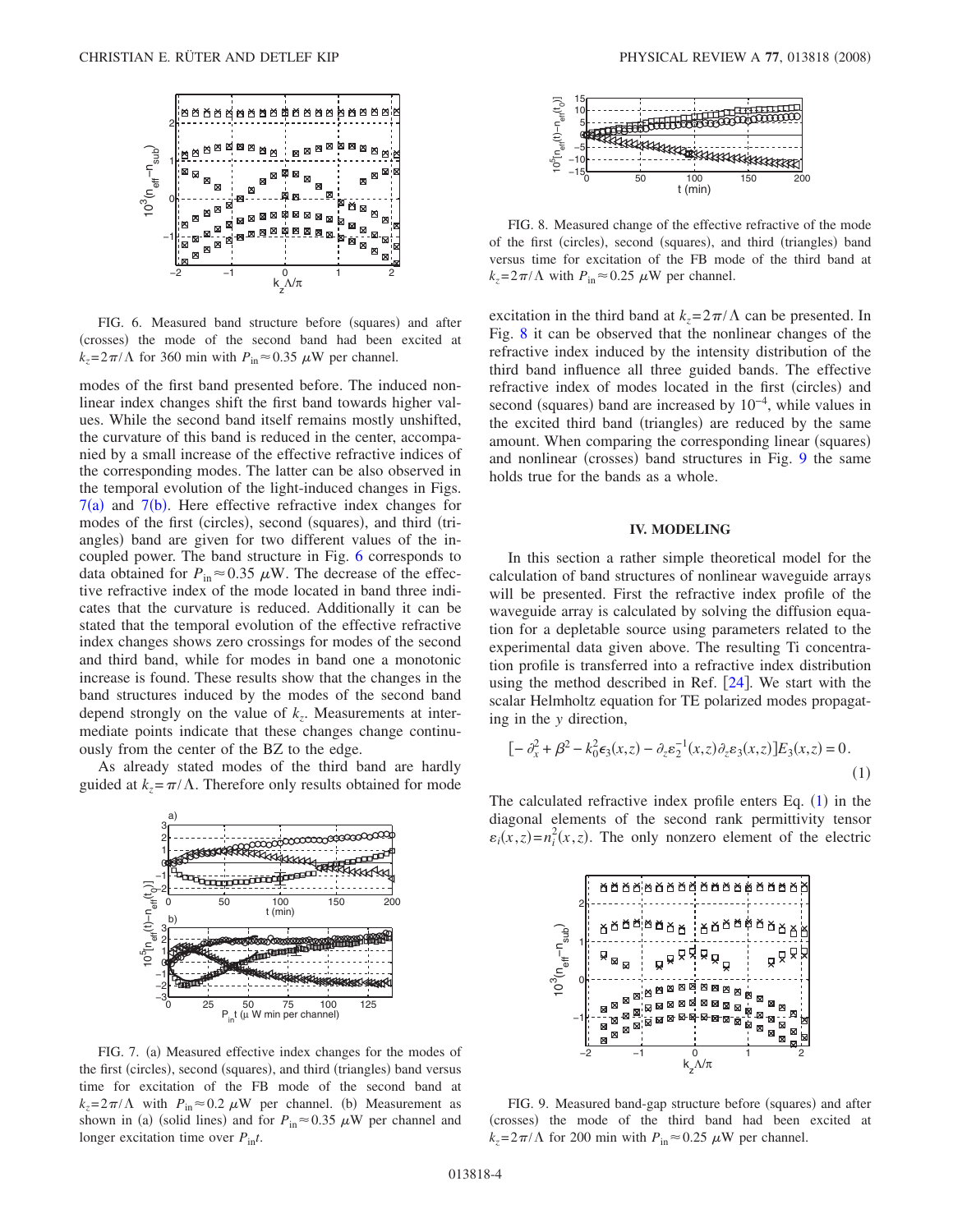<span id="page-3-0"></span>

FIG. 6. Measured band structure before (squares) and after (crosses) the mode of the second band had been excited at  $k_z = 2\pi/\Lambda$  for 360 min with  $P_{in} \approx 0.35 \mu$ W per channel.

modes of the first band presented before. The induced nonlinear index changes shift the first band towards higher values. While the second band itself remains mostly unshifted, the curvature of this band is reduced in the center, accompanied by a small increase of the effective refractive indices of the corresponding modes. The latter can be also observed in the temporal evolution of the light-induced changes in Figs.  $7(a)$  $7(a)$  and  $7(b)$ . Here effective refractive index changes for modes of the first (circles), second (squares), and third (triangles) band are given for two different values of the incoupled power. The band structure in Fig. [6](#page-3-0) corresponds to data obtained for  $P_{\text{in}} \approx 0.35 \mu\text{W}$ . The decrease of the effective refractive index of the mode located in band three indicates that the curvature is reduced. Additionally it can be stated that the temporal evolution of the effective refractive index changes shows zero crossings for modes of the second and third band, while for modes in band one a monotonic increase is found. These results show that the changes in the band structures induced by the modes of the second band depend strongly on the value of  $k_z$ . Measurements at intermediate points indicate that these changes change continuously from the center of the BZ to the edge.

<span id="page-3-1"></span>As already stated modes of the third band are hardly guided at  $k_z = \pi / \Lambda$ . Therefore only results obtained for mode



FIG. 7. (a) Measured effective index changes for the modes of the first (circles), second (squares), and third (triangles) band versus time for excitation of the FB mode of the second band at  $k_z = 2\pi/\Lambda$  with  $P_{\text{in}} \approx 0.2 \mu W$  per channel. (b) Measurement as shown in (a) (solid lines) and for  $P_{in} \approx 0.35 \mu W$  per channel and longer excitation time over *P*in*t*.

<span id="page-3-2"></span>

FIG. 8. Measured change of the effective refractive of the mode of the first (circles), second (squares), and third (triangles) band versus time for excitation of the FB mode of the third band at  $k_z = 2\pi/\Lambda$  with  $P_{in} \approx 0.25 \mu$ W per channel.

excitation in the third band at  $k_z = 2\pi/\Lambda$  can be presented. In Fig. [8](#page-3-2) it can be observed that the nonlinear changes of the refractive index induced by the intensity distribution of the third band influence all three guided bands. The effective refractive index of modes located in the first (circles) and second (squares) band are increased by  $10^{-4}$ , while values in the excited third band (triangles) are reduced by the same amount. When comparing the corresponding linear (squares) and nonlinear (crosses) band structures in Fig. [9](#page-3-3) the same holds true for the bands as a whole.

### **IV. MODELING**

In this section a rather simple theoretical model for the calculation of band structures of nonlinear waveguide arrays will be presented. First the refractive index profile of the waveguide array is calculated by solving the diffusion equation for a depletable source using parameters related to the experimental data given above. The resulting Ti concentration profile is transferred into a refractive index distribution using the method described in Ref.  $[24]$  $[24]$  $[24]$ . We start with the scalar Helmholtz equation for TE polarized modes propagating in the *y* direction,

<span id="page-3-4"></span>
$$
[-\partial_x^2 + \beta^2 - k_0^2 \epsilon_3(x, z) - \partial_z \epsilon_2^{-1}(x, z) \partial_z \epsilon_3(x, z)] E_3(x, z) = 0.
$$
\n(1)

The calculated refractive index profile enters Eq.  $(1)$  $(1)$  $(1)$  in the diagonal elements of the second rank permittivity tensor  $\varepsilon_i(x, z) = n_i^2(x, z)$ . The only nonzero element of the electric

<span id="page-3-3"></span>

FIG. 9. Measured band-gap structure before (squares) and after (crosses) the mode of the third band had been excited at  $k_z = 2\pi/\Lambda$  for 200 min with  $P_{\text{in}} \approx 0.25 \ \mu\text{W}$  per channel.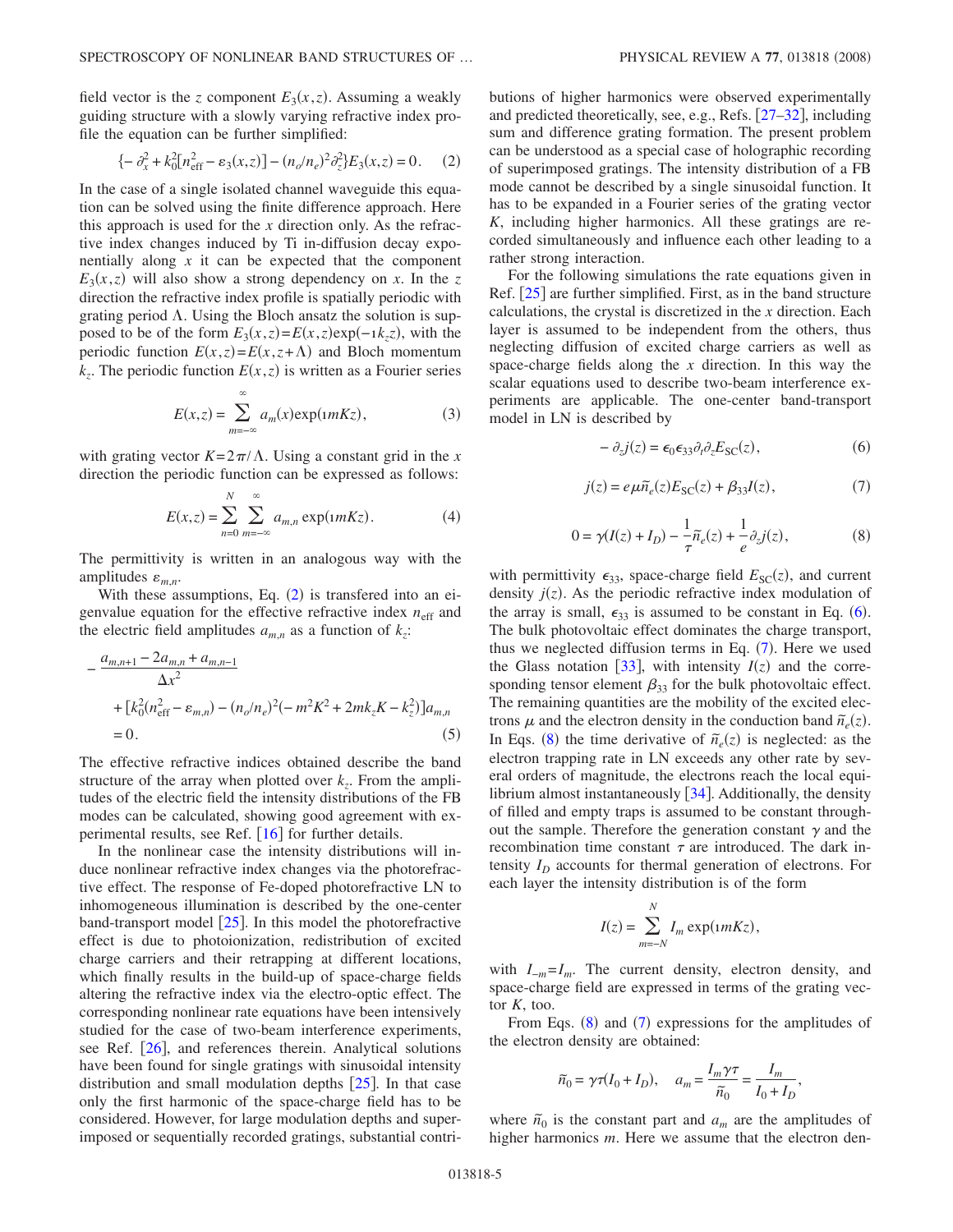field vector is the *z* component  $E_3(x, z)$ . Assuming a weakly guiding structure with a slowly varying refractive index profile the equation can be further simplified:

$$
\{-\partial_x^2 + k_0^2 [n_{\text{eff}}^2 - \varepsilon_3(x, z)] - (n_o/n_e)^2 \partial_z^2 \} E_3(x, z) = 0. \tag{2}
$$

<span id="page-4-0"></span>In the case of a single isolated channel waveguide this equation can be solved using the finite difference approach. Here this approach is used for the *x* direction only. As the refractive index changes induced by Ti in-diffusion decay exponentially along *x* it can be expected that the component  $E_3(x, z)$  will also show a strong dependency on *x*. In the *z* direction the refractive index profile is spatially periodic with grating period  $\Lambda$ . Using the Bloch ansatz the solution is supposed to be of the form  $E_3(x, z) = E(x, z) \exp(-i k_z z)$ , with the periodic function  $E(x, z) = E(x, z + \Lambda)$  and Bloch momentum  $k_z$ . The periodic function  $E(x, z)$  is written as a Fourier series

$$
E(x,z) = \sum_{m=-\infty}^{\infty} a_m(x) \exp(1 m K z),
$$
 (3)

with grating vector  $K=2\pi/\Lambda$ . Using a constant grid in the *x* direction the periodic function can be expressed as follows:

$$
E(x,z) = \sum_{n=0}^{N} \sum_{m=-\infty}^{\infty} a_{m,n} \exp(nmKz).
$$
 (4)

The permittivity is written in an analogous way with the amplitudes  $\varepsilon_{m,n}$ .

With these assumptions, Eq.  $(2)$  $(2)$  $(2)$  is transfered into an eigenvalue equation for the effective refractive index  $n_{\text{eff}}$  and the electric field amplitudes  $a_{m,n}$  as a function of  $k_z$ .

$$
-\frac{a_{m,n+1} - 2a_{m,n} + a_{m,n-1}}{\Delta x^2} + [k_0^2 (n_{\text{eff}}^2 - \varepsilon_{m,n}) - (n_o/n_e)^2 (-m^2 K^2 + 2mk_z K - k_z^2)]a_{m,n}
$$
  
= 0. (5)

The effective refractive indices obtained describe the band structure of the array when plotted over  $k_z$ . From the amplitudes of the electric field the intensity distributions of the FB modes can be calculated, showing good agreement with experimental results, see Ref.  $[16]$  $[16]$  $[16]$  for further details.

In the nonlinear case the intensity distributions will induce nonlinear refractive index changes via the photorefractive effect. The response of Fe-doped photorefractive LN to inhomogeneous illumination is described by the one-center band-transport model  $\lceil 25 \rceil$  $\lceil 25 \rceil$  $\lceil 25 \rceil$ . In this model the photorefractive effect is due to photoionization, redistribution of excited charge carriers and their retrapping at different locations, which finally results in the build-up of space-charge fields altering the refractive index via the electro-optic effect. The corresponding nonlinear rate equations have been intensively studied for the case of two-beam interference experiments, see Ref. [[26](#page-8-22)], and references therein. Analytical solutions have been found for single gratings with sinusoidal intensity distribution and small modulation depths  $\lceil 25 \rceil$  $\lceil 25 \rceil$  $\lceil 25 \rceil$ . In that case only the first harmonic of the space-charge field has to be considered. However, for large modulation depths and superimposed or sequentially recorded gratings, substantial contributions of higher harmonics were observed experimentally and predicted theoretically, see, e.g., Refs.  $[27-32]$  $[27-32]$  $[27-32]$ , including sum and difference grating formation. The present problem can be understood as a special case of holographic recording of superimposed gratings. The intensity distribution of a FB mode cannot be described by a single sinusoidal function. It has to be expanded in a Fourier series of the grating vector *K*, including higher harmonics. All these gratings are recorded simultaneously and influence each other leading to a rather strong interaction.

For the following simulations the rate equations given in Ref.  $\left[25\right]$  $\left[25\right]$  $\left[25\right]$  are further simplified. First, as in the band structure calculations, the crystal is discretized in the *x* direction. Each layer is assumed to be independent from the others, thus neglecting diffusion of excited charge carriers as well as space-charge fields along the *x* direction. In this way the scalar equations used to describe two-beam interference experiments are applicable. The one-center band-transport model in LN is described by

$$
- \partial_z j(z) = \epsilon_0 \epsilon_{33} \partial_t \partial_z E_{SC}(z), \qquad (6)
$$

<span id="page-4-1"></span>
$$
j(z) = e\mu \widetilde{n}_e(z) E_{SC}(z) + \beta_{33} I(z), \tag{7}
$$

$$
0 = \gamma(I(z) + I_D) - \frac{1}{\tau}\tilde{n}_e(z) + \frac{1}{e}\partial_z j(z),\tag{8}
$$

<span id="page-4-3"></span><span id="page-4-2"></span>with permittivity  $\epsilon_{33}$ , space-charge field  $E_{SC}(z)$ , and current density  $j(z)$ . As the periodic refractive index modulation of the array is small,  $\epsilon_{33}$  is assumed to be constant in Eq. ([6](#page-4-1)). The bulk photovoltaic effect dominates the charge transport, thus we neglected diffusion terms in Eq. ([7](#page-4-2)). Here we used the Glass notation [[33](#page-9-1)], with intensity  $I(z)$  and the corresponding tensor element  $\beta_{33}$  for the bulk photovoltaic effect. The remaining quantities are the mobility of the excited electrons  $\mu$  and the electron density in the conduction band  $\tilde{n}_e(z)$ . In Eqs. ([8](#page-4-3)) the time derivative of  $\tilde{n}_e(z)$  is neglected: as the electron trapping rate in LN exceeds any other rate by several orders of magnitude, the electrons reach the local equilibrium almost instantaneously  $[34]$  $[34]$  $[34]$ . Additionally, the density of filled and empty traps is assumed to be constant throughout the sample. Therefore the generation constant  $\gamma$  and the recombination time constant  $\tau$  are introduced. The dark intensity  $I_D$  accounts for thermal generation of electrons. For each layer the intensity distribution is of the form

$$
I(z) = \sum_{m=-N}^{N} I_m \exp(1 m K z),
$$

with *I*<sub>−*m*</sub>=*I<sub>m</sub>*. The current density, electron density, and space-charge field are expressed in terms of the grating vector *K*, too.

From Eqs.  $(8)$  $(8)$  $(8)$  and  $(7)$  $(7)$  $(7)$  expressions for the amplitudes of the electron density are obtained:

$$
\widetilde{n}_0 = \gamma \tau (I_0 + I_D), \quad a_m = \frac{I_m \gamma \tau}{\widetilde{n}_0} = \frac{I_m}{I_0 + I_D},
$$

where  $\tilde{n}_0$  is the constant part and  $a_m$  are the amplitudes of higher harmonics *m*. Here we assume that the electron den-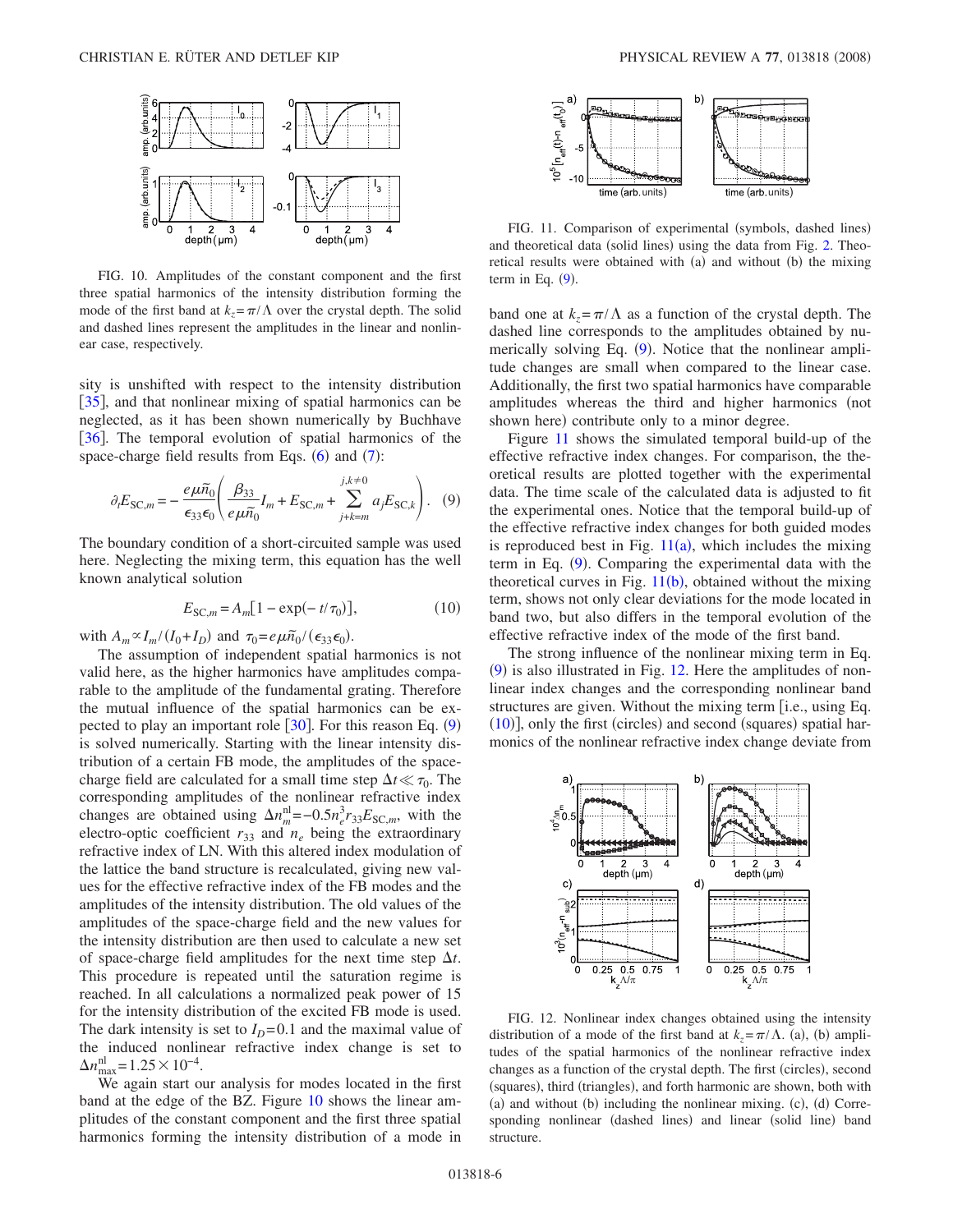<span id="page-5-1"></span>

FIG. 10. Amplitudes of the constant component and the first three spatial harmonics of the intensity distribution forming the mode of the first band at  $k_z = \pi / \Lambda$  over the crystal depth. The solid and dashed lines represent the amplitudes in the linear and nonlinear case, respectively.

sity is unshifted with respect to the intensity distribution [[35](#page-9-3)], and that nonlinear mixing of spatial harmonics can be neglected, as it has been shown numerically by Buchhave [[36](#page-9-4)]. The temporal evolution of spatial harmonics of the space-charge field results from Eqs.  $(6)$  $(6)$  $(6)$  and  $(7)$  $(7)$  $(7)$ :

<span id="page-5-0"></span>
$$
\partial_t E_{\text{SC},m} = -\frac{e\mu \tilde{n}_0}{\epsilon_{33}\epsilon_0} \left( \frac{\beta_{33}}{e\mu \tilde{n}_0} I_m + E_{\text{SC},m} + \sum_{j+k=m}^{j,k\neq 0} a_j E_{\text{SC},k} \right). \tag{9}
$$

The boundary condition of a short-circuited sample was used here. Neglecting the mixing term, this equation has the well known analytical solution

$$
E_{SC,m} = A_m [1 - \exp(-t/\tau_0)],
$$
 (10)

<span id="page-5-4"></span>with  $A_m \propto I_m / (I_0 + I_D)$  and  $\tau_0 = e \mu \tilde{n}_0 / (\epsilon_{33} \epsilon_0)$ .

The assumption of independent spatial harmonics is not valid here, as the higher harmonics have amplitudes comparable to the amplitude of the fundamental grating. Therefore the mutual influence of the spatial harmonics can be expected to play an important role  $[30]$  $[30]$  $[30]$ . For this reason Eq.  $(9)$  $(9)$  $(9)$ is solved numerically. Starting with the linear intensity distribution of a certain FB mode, the amplitudes of the spacecharge field are calculated for a small time step  $\Delta t \ll \tau_0$ . The corresponding amplitudes of the nonlinear refractive index changes are obtained using  $\Delta n_m^{\text{nl}} = -0.5 n_e^3 r_{33} E_{\text{SC},m}$ , with the electro-optic coefficient  $r_{33}$  and  $n_e$  being the extraordinary refractive index of LN. With this altered index modulation of the lattice the band structure is recalculated, giving new values for the effective refractive index of the FB modes and the amplitudes of the intensity distribution. The old values of the amplitudes of the space-charge field and the new values for the intensity distribution are then used to calculate a new set of space-charge field amplitudes for the next time step  $\Delta t$ . This procedure is repeated until the saturation regime is reached. In all calculations a normalized peak power of 15 for the intensity distribution of the excited FB mode is used. The dark intensity is set to  $I_D = 0.1$  and the maximal value of the induced nonlinear refractive index change is set to  $\Delta n_{\text{max}}^{\text{nl}} = 1.25 \times 10^{-4}$ .

We again start our analysis for modes located in the first band at the edge of the BZ. Figure [10](#page-5-1) shows the linear amplitudes of the constant component and the first three spatial harmonics forming the intensity distribution of a mode in

<span id="page-5-2"></span>

FIG. 11. Comparison of experimental (symbols, dashed lines) and theoretical data (solid lines) using the data from Fig. [2.](#page-1-1) Theoretical results were obtained with (a) and without (b) the mixing term in Eq.  $(9)$  $(9)$  $(9)$ .

band one at  $k_z = \pi / \Lambda$  as a function of the crystal depth. The dashed line corresponds to the amplitudes obtained by nu-merically solving Eq. ([9](#page-5-0)). Notice that the nonlinear amplitude changes are small when compared to the linear case. Additionally, the first two spatial harmonics have comparable amplitudes whereas the third and higher harmonics (not shown here) contribute only to a minor degree.

Figure [11](#page-5-2) shows the simulated temporal build-up of the effective refractive index changes. For comparison, the theoretical results are plotted together with the experimental data. The time scale of the calculated data is adjusted to fit the experimental ones. Notice that the temporal build-up of the effective refractive index changes for both guided modes is reproduced best in Fig.  $11(a)$  $11(a)$ , which includes the mixing term in Eq. ([9](#page-5-0)). Comparing the experimental data with the theoretical curves in Fig.  $11(b)$  $11(b)$ , obtained without the mixing term, shows not only clear deviations for the mode located in band two, but also differs in the temporal evolution of the effective refractive index of the mode of the first band.

The strong influence of the nonlinear mixing term in Eq.  $(9)$  $(9)$  $(9)$  is also illustrated in Fig. [12.](#page-5-3) Here the amplitudes of nonlinear index changes and the corresponding nonlinear band structures are given. Without the mixing term [i.e., using Eq. ([10](#page-5-4))], only the first (circles) and second (squares) spatial harmonics of the nonlinear refractive index change deviate from

<span id="page-5-3"></span>

FIG. 12. Nonlinear index changes obtained using the intensity distribution of a mode of the first band at  $k_z = \pi / \Lambda$ . (a), (b) amplitudes of the spatial harmonics of the nonlinear refractive index changes as a function of the crystal depth. The first (circles), second (squares), third (triangles), and forth harmonic are shown, both with (a) and without (b) including the nonlinear mixing. (c), (d) Corresponding nonlinear (dashed lines) and linear (solid line) band structure.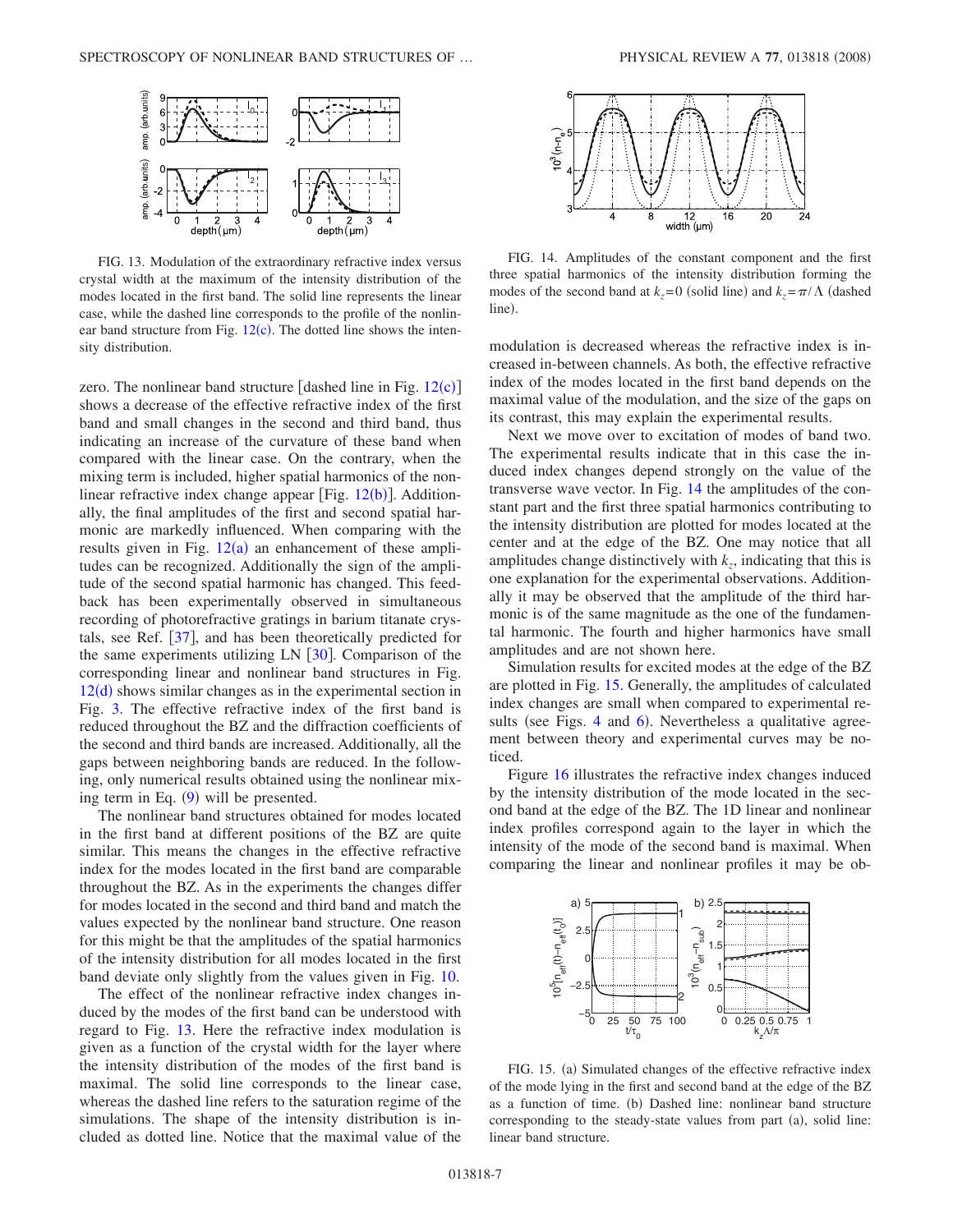<span id="page-6-0"></span>

FIG. 13. Modulation of the extraordinary refractive index versus crystal width at the maximum of the intensity distribution of the modes located in the first band. The solid line represents the linear case, while the dashed line corresponds to the profile of the nonlinear band structure from Fig.  $12(c)$  $12(c)$ . The dotted line shows the intensity distribution.

zero. The nonlinear band structure [dashed line in Fig.  $12(c)$  $12(c)$ ] shows a decrease of the effective refractive index of the first band and small changes in the second and third band, thus indicating an increase of the curvature of these band when compared with the linear case. On the contrary, when the mixing term is included, higher spatial harmonics of the nonlinear refractive index change appear [Fig.  $12(b)$  $12(b)$ ]. Additionally, the final amplitudes of the first and second spatial harmonic are markedly influenced. When comparing with the results given in Fig.  $12(a)$  $12(a)$  an enhancement of these amplitudes can be recognized. Additionally the sign of the amplitude of the second spatial harmonic has changed. This feedback has been experimentally observed in simultaneous recording of photorefractive gratings in barium titanate crystals, see Ref.  $[37]$  $[37]$  $[37]$ , and has been theoretically predicted for the same experiments utilizing LN  $\left[30\right]$  $\left[30\right]$  $\left[30\right]$ . Comparison of the corresponding linear and nonlinear band structures in Fig.  $12(d)$  $12(d)$  shows similar changes as in the experimental section in Fig. [3.](#page-2-0) The effective refractive index of the first band is reduced throughout the BZ and the diffraction coefficients of the second and third bands are increased. Additionally, all the gaps between neighboring bands are reduced. In the following, only numerical results obtained using the nonlinear mixing term in Eq.  $(9)$  $(9)$  $(9)$  will be presented.

The nonlinear band structures obtained for modes located in the first band at different positions of the BZ are quite similar. This means the changes in the effective refractive index for the modes located in the first band are comparable throughout the BZ. As in the experiments the changes differ for modes located in the second and third band and match the values expected by the nonlinear band structure. One reason for this might be that the amplitudes of the spatial harmonics of the intensity distribution for all modes located in the first band deviate only slightly from the values given in Fig. [10.](#page-5-1)

The effect of the nonlinear refractive index changes induced by the modes of the first band can be understood with regard to Fig. [13.](#page-6-0) Here the refractive index modulation is given as a function of the crystal width for the layer where the intensity distribution of the modes of the first band is maximal. The solid line corresponds to the linear case, whereas the dashed line refers to the saturation regime of the simulations. The shape of the intensity distribution is included as dotted line. Notice that the maximal value of the

<span id="page-6-1"></span>

FIG. 14. Amplitudes of the constant component and the first three spatial harmonics of the intensity distribution forming the modes of the second band at  $k_z = 0$  (solid line) and  $k_z = \pi/\Lambda$  (dashed line).

modulation is decreased whereas the refractive index is increased in-between channels. As both, the effective refractive index of the modes located in the first band depends on the maximal value of the modulation, and the size of the gaps on its contrast, this may explain the experimental results.

Next we move over to excitation of modes of band two. The experimental results indicate that in this case the induced index changes depend strongly on the value of the transverse wave vector. In Fig. [14](#page-6-1) the amplitudes of the constant part and the first three spatial harmonics contributing to the intensity distribution are plotted for modes located at the center and at the edge of the BZ. One may notice that all amplitudes change distinctively with  $k_z$ , indicating that this is one explanation for the experimental observations. Additionally it may be observed that the amplitude of the third harmonic is of the same magnitude as the one of the fundamental harmonic. The fourth and higher harmonics have small amplitudes and are not shown here.

Simulation results for excited modes at the edge of the BZ are plotted in Fig. [15.](#page-6-2) Generally, the amplitudes of calculated index changes are small when compared to experimental re-sults (see Figs. [4](#page-2-1) and [6](#page-3-0)). Nevertheless a qualitative agreement between theory and experimental curves may be noticed.

Figure [16](#page-7-0) illustrates the refractive index changes induced by the intensity distribution of the mode located in the second band at the edge of the BZ. The 1D linear and nonlinear index profiles correspond again to the layer in which the intensity of the mode of the second band is maximal. When comparing the linear and nonlinear profiles it may be ob-

<span id="page-6-2"></span>

FIG. 15. (a) Simulated changes of the effective refractive index of the mode lying in the first and second band at the edge of the BZ as a function of time. (b) Dashed line: nonlinear band structure corresponding to the steady-state values from part (a), solid line: linear band structure.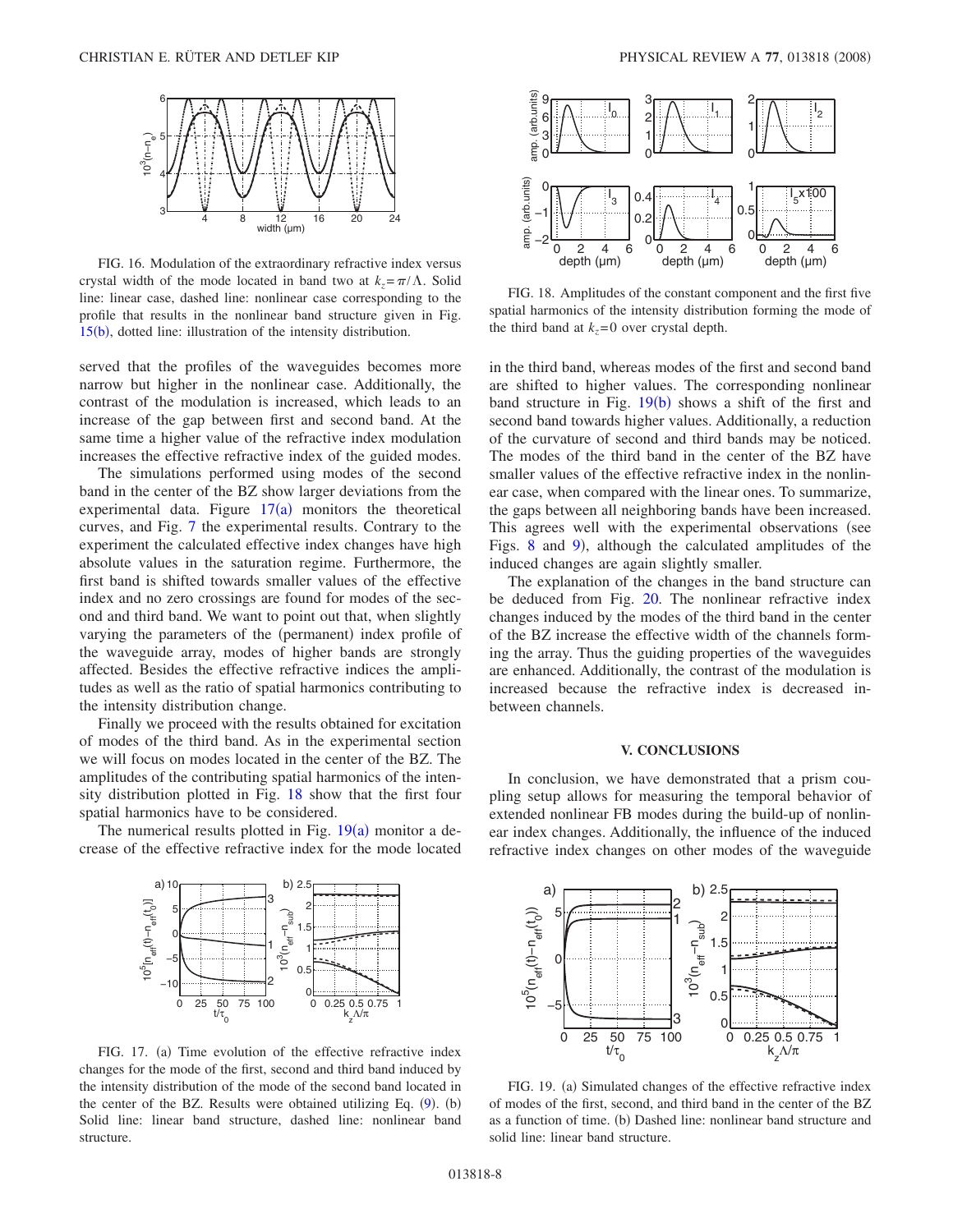<span id="page-7-0"></span>

FIG. 16. Modulation of the extraordinary refractive index versus crystal width of the mode located in band two at  $k_z = \pi/\Lambda$ . Solid line: linear case, dashed line: nonlinear case corresponding to the profile that results in the nonlinear band structure given in Fig. [15](#page-6-2)(b), dotted line: illustration of the intensity distribution.

served that the profiles of the waveguides becomes more narrow but higher in the nonlinear case. Additionally, the contrast of the modulation is increased, which leads to an increase of the gap between first and second band. At the same time a higher value of the refractive index modulation increases the effective refractive index of the guided modes.

The simulations performed using modes of the second band in the center of the BZ show larger deviations from the experimental data. Figure  $17(a)$  $17(a)$  monitors the theoretical curves, and Fig. [7](#page-3-1) the experimental results. Contrary to the experiment the calculated effective index changes have high absolute values in the saturation regime. Furthermore, the first band is shifted towards smaller values of the effective index and no zero crossings are found for modes of the second and third band. We want to point out that, when slightly varying the parameters of the (permanent) index profile of the waveguide array, modes of higher bands are strongly affected. Besides the effective refractive indices the amplitudes as well as the ratio of spatial harmonics contributing to the intensity distribution change.

Finally we proceed with the results obtained for excitation of modes of the third band. As in the experimental section we will focus on modes located in the center of the BZ. The amplitudes of the contributing spatial harmonics of the intensity distribution plotted in Fig. [18](#page-7-2) show that the first four spatial harmonics have to be considered.

<span id="page-7-1"></span>The numerical results plotted in Fig.  $19(a)$  $19(a)$  monitor a decrease of the effective refractive index for the mode located



FIG. 17. (a) Time evolution of the effective refractive index changes for the mode of the first, second and third band induced by the intensity distribution of the mode of the second band located in the center of the BZ. Results were obtained utilizing Eq.  $(9)$  $(9)$  $(9)$ .  $(b)$ Solid line: linear band structure, dashed line: nonlinear band structure.

<span id="page-7-2"></span>

FIG. 18. Amplitudes of the constant component and the first five spatial harmonics of the intensity distribution forming the mode of the third band at  $k_z$ =0 over crystal depth.

in the third band, whereas modes of the first and second band are shifted to higher values. The corresponding nonlinear band structure in Fig.  $19(b)$  $19(b)$  shows a shift of the first and second band towards higher values. Additionally, a reduction of the curvature of second and third bands may be noticed. The modes of the third band in the center of the BZ have smaller values of the effective refractive index in the nonlinear case, when compared with the linear ones. To summarize, the gaps between all neighboring bands have been increased. This agrees well with the experimental observations (see Figs. [8](#page-3-2) and [9](#page-3-3)), although the calculated amplitudes of the induced changes are again slightly smaller.

The explanation of the changes in the band structure can be deduced from Fig. [20.](#page-8-24) The nonlinear refractive index changes induced by the modes of the third band in the center of the BZ increase the effective width of the channels forming the array. Thus the guiding properties of the waveguides are enhanced. Additionally, the contrast of the modulation is increased because the refractive index is decreased inbetween channels.

#### **V. CONCLUSIONS**

In conclusion, we have demonstrated that a prism coupling setup allows for measuring the temporal behavior of extended nonlinear FB modes during the build-up of nonlinear index changes. Additionally, the influence of the induced refractive index changes on other modes of the waveguide

<span id="page-7-3"></span>

FIG. 19. (a) Simulated changes of the effective refractive index of modes of the first, second, and third band in the center of the BZ as a function of time. (b) Dashed line: nonlinear band structure and solid line: linear band structure.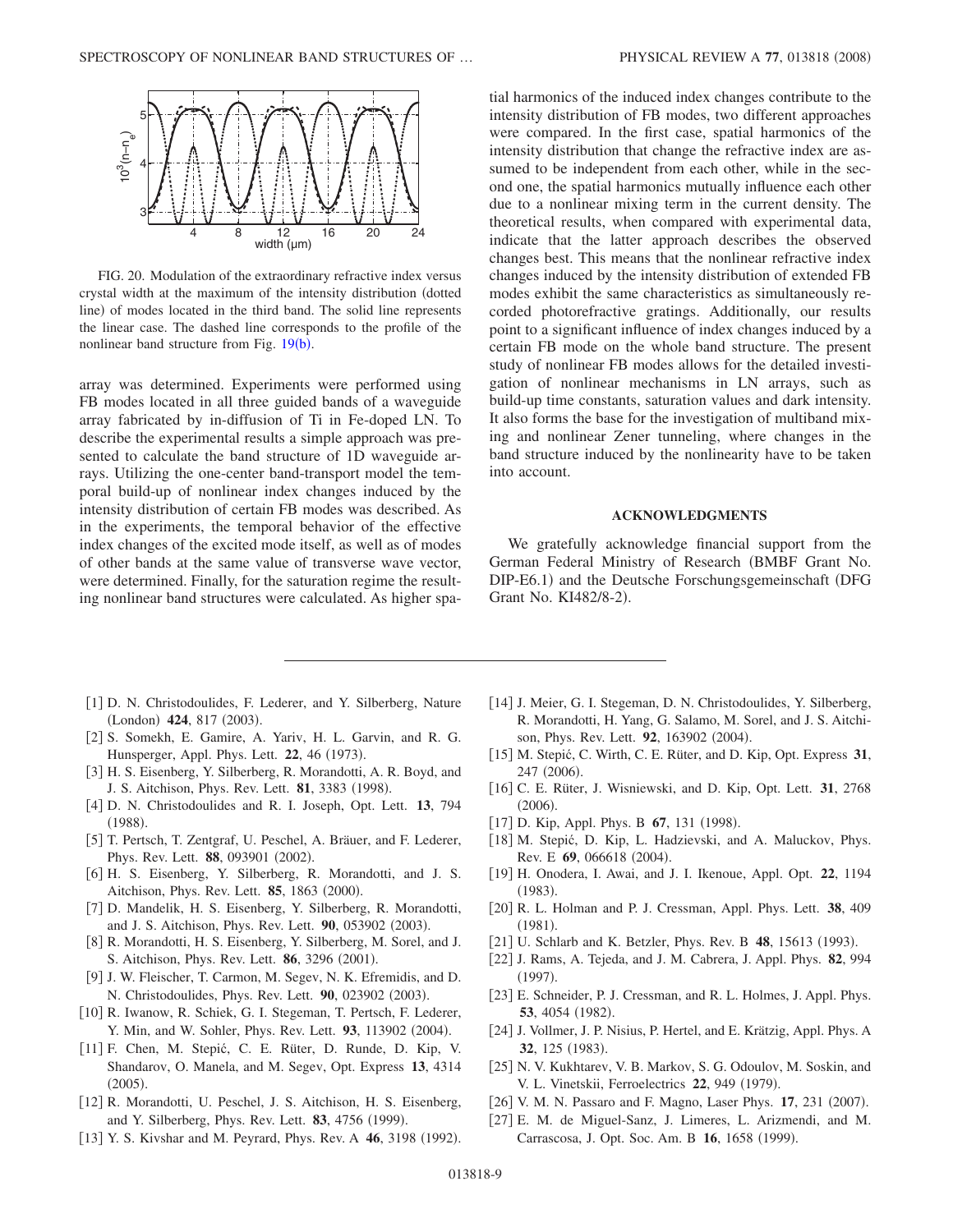<span id="page-8-24"></span>

FIG. 20. Modulation of the extraordinary refractive index versus crystal width at the maximum of the intensity distribution dotted line) of modes located in the third band. The solid line represents the linear case. The dashed line corresponds to the profile of the nonlinear band structure from Fig. [19](#page-7-3)(b).

array was determined. Experiments were performed using FB modes located in all three guided bands of a waveguide array fabricated by in-diffusion of Ti in Fe-doped LN. To describe the experimental results a simple approach was presented to calculate the band structure of 1D waveguide arrays. Utilizing the one-center band-transport model the temporal build-up of nonlinear index changes induced by the intensity distribution of certain FB modes was described. As in the experiments, the temporal behavior of the effective index changes of the excited mode itself, as well as of modes of other bands at the same value of transverse wave vector, were determined. Finally, for the saturation regime the resulting nonlinear band structures were calculated. As higher spatial harmonics of the induced index changes contribute to the intensity distribution of FB modes, two different approaches were compared. In the first case, spatial harmonics of the intensity distribution that change the refractive index are assumed to be independent from each other, while in the second one, the spatial harmonics mutually influence each other due to a nonlinear mixing term in the current density. The theoretical results, when compared with experimental data, indicate that the latter approach describes the observed changes best. This means that the nonlinear refractive index changes induced by the intensity distribution of extended FB modes exhibit the same characteristics as simultaneously recorded photorefractive gratings. Additionally, our results point to a significant influence of index changes induced by a certain FB mode on the whole band structure. The present study of nonlinear FB modes allows for the detailed investigation of nonlinear mechanisms in LN arrays, such as build-up time constants, saturation values and dark intensity. It also forms the base for the investigation of multiband mixing and nonlinear Zener tunneling, where changes in the band structure induced by the nonlinearity have to be taken into account.

#### **ACKNOWLEDGMENTS**

We gratefully acknowledge financial support from the German Federal Ministry of Research (BMBF Grant No. DIP-E6.1) and the Deutsche Forschungsgemeinschaft (DFG Grant No. KI482/8-2).

- <span id="page-8-0"></span>[1] D. N. Christodoulides, F. Lederer, and Y. Silberberg, Nature (London) 424, 817 (2003).
- <span id="page-8-1"></span>[2] S. Somekh, E. Gamire, A. Yariv, H. L. Garvin, and R. G. Hunsperger, Appl. Phys. Lett. 22, 46 (1973).
- <span id="page-8-2"></span>3 H. S. Eisenberg, Y. Silberberg, R. Morandotti, A. R. Boyd, and J. S. Aitchison, Phys. Rev. Lett. **81**, 3383 (1998).
- <span id="page-8-3"></span>4 D. N. Christodoulides and R. I. Joseph, Opt. Lett. **13**, 794  $(1988).$
- <span id="page-8-4"></span>[5] T. Pertsch, T. Zentgraf, U. Peschel, A. Bräuer, and F. Lederer, Phys. Rev. Lett. 88, 093901 (2002).
- <span id="page-8-5"></span>[6] H. S. Eisenberg, Y. Silberberg, R. Morandotti, and J. S. Aitchison, Phys. Rev. Lett. **85**, 1863 (2000).
- <span id="page-8-6"></span>7 D. Mandelik, H. S. Eisenberg, Y. Silberberg, R. Morandotti, and J. S. Aitchison, Phys. Rev. Lett. 90, 053902 (2003).
- <span id="page-8-7"></span>[8] R. Morandotti, H. S. Eisenberg, Y. Silberberg, M. Sorel, and J. S. Aitchison, Phys. Rev. Lett. **86**, 3296 (2001).
- 9 J. W. Fleischer, T. Carmon, M. Segev, N. K. Efremidis, and D. N. Christodoulides, Phys. Rev. Lett. 90, 023902 (2003).
- [10] R. Iwanow, R. Schiek, G. I. Stegeman, T. Pertsch, F. Lederer, Y. Min, and W. Sohler, Phys. Rev. Lett. 93, 113902 (2004).
- <span id="page-8-8"></span>11 F. Chen, M. Stepić, C. E. Rüter, D. Runde, D. Kip, V. Shandarov, O. Manela, and M. Segev, Opt. Express **13**, 4314  $(2005).$
- <span id="page-8-9"></span>[12] R. Morandotti, U. Peschel, J. S. Aitchison, H. S. Eisenberg, and Y. Silberberg, Phys. Rev. Lett. 83, 4756 (1999).
- <span id="page-8-10"></span>[13] Y. S. Kivshar and M. Peyrard, Phys. Rev. A 46, 3198 (1992).
- <span id="page-8-20"></span>[14] J. Meier, G. I. Stegeman, D. N. Christodoulides, Y. Silberberg, R. Morandotti, H. Yang, G. Salamo, M. Sorel, and J. S. Aitchison, Phys. Rev. Lett. **92**, 163902 (2004).
- <span id="page-8-11"></span>15 M. Stepić, C. Wirth, C. E. Rüter, and D. Kip, Opt. Express **31**, 247 (2006).
- <span id="page-8-12"></span>16 C. E. Rüter, J. Wisniewski, and D. Kip, Opt. Lett. **31**, 2768  $(2006).$
- <span id="page-8-13"></span>[17] D. Kip, Appl. Phys. B 67, 131 (1998).
- <span id="page-8-14"></span>[18] M. Stepić, D. Kip, L. Hadzievski, and A. Maluckov, Phys. Rev. E 69, 066618 (2004).
- <span id="page-8-15"></span>19 H. Onodera, I. Awai, and J. I. Ikenoue, Appl. Opt. **22**, 1194  $(1983).$
- <span id="page-8-16"></span>20 R. L. Holman and P. J. Cressman, Appl. Phys. Lett. **38**, 409  $(1981).$
- <span id="page-8-17"></span>[21] U. Schlarb and K. Betzler, Phys. Rev. B 48, 15613 (1993).
- <span id="page-8-18"></span>22 J. Rams, A. Tejeda, and J. M. Cabrera, J. Appl. Phys. **82**, 994  $(1997).$
- <span id="page-8-19"></span>23 E. Schneider, P. J. Cressman, and R. L. Holmes, J. Appl. Phys. **53**, 4054 (1982).
- [24] J. Vollmer, J. P. Nisius, P. Hertel, and E. Krätzig, Appl. Phys. A 32, 125 (1983).
- <span id="page-8-21"></span>[25] N. V. Kukhtarev, V. B. Markov, S. G. Odoulov, M. Soskin, and V. L. Vinetskii, Ferroelectrics 22, 949 (1979).
- <span id="page-8-22"></span>[26] V. M. N. Passaro and F. Magno, Laser Phys. 17, 231 (2007).
- <span id="page-8-23"></span>27 E. M. de Miguel-Sanz, J. Limeres, L. Arizmendi, and M. Carrascosa, J. Opt. Soc. Am. B 16, 1658 (1999).